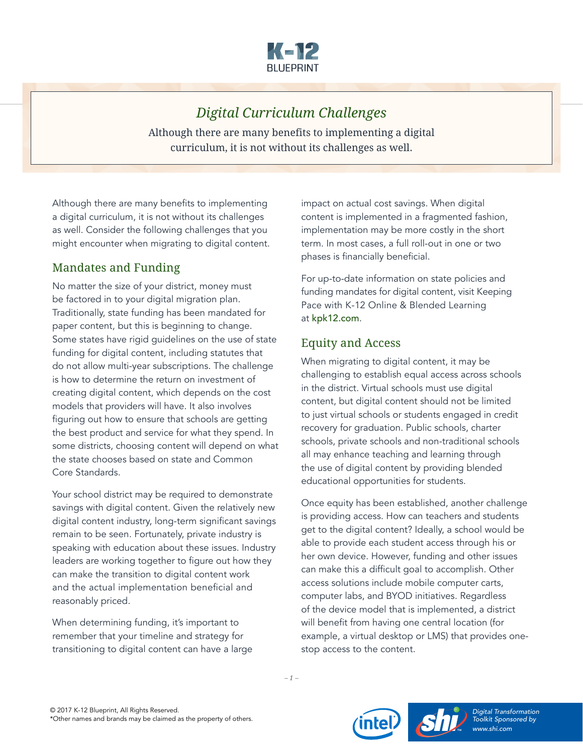

# *Digital Curriculum Challenges*

Although there are many benefits to implementing a digital curriculum, it is not without its challenges as well.

Although there are many benefits to implementing a digital curriculum, it is not without its challenges as well. Consider the following challenges that you might encounter when migrating to digital content.

#### Mandates and Funding

No matter the size of your district, money must be factored in to your digital migration plan. Traditionally, state funding has been mandated for paper content, but this is beginning to change. Some states have rigid guidelines on the use of state funding for digital content, including statutes that do not allow multi-year subscriptions. The challenge is how to determine the return on investment of creating digital content, which depends on the cost models that providers will have. It also involves figuring out how to ensure that schools are getting the best product and service for what they spend. In some districts, choosing content will depend on what the state chooses based on state and Common Core Standards.

Your school district may be required to demonstrate savings with digital content. Given the relatively new digital content industry, long-term significant savings remain to be seen. Fortunately, private industry is speaking with education about these issues. Industry leaders are working together to figure out how they can make the transition to digital content work and the actual implementation beneficial and reasonably priced.

When determining funding, it's important to remember that your timeline and strategy for transitioning to digital content can have a large impact on actual cost savings. When digital content is implemented in a fragmented fashion, implementation may be more costly in the short term. In most cases, a full roll-out in one or two phases is financially beneficial.

For up-to-date information on state policies and funding mandates for digital content, visit Keeping Pace with K-12 Online & Blended Learning at [kpk12.com](http://kpk12.com/).

#### Equity and Access

When migrating to digital content, it may be challenging to establish equal access across schools in the district. Virtual schools must use digital content, but digital content should not be limited to just virtual schools or students engaged in credit recovery for graduation. Public schools, charter schools, private schools and non-traditional schools all may enhance teaching and learning through the use of digital content by providing blended educational opportunities for students.

Once equity has been established, another challenge is providing access. How can teachers and students get to the digital content? Ideally, a school would be able to provide each student access through his or her own device. However, funding and other issues can make this a difficult goal to accomplish. Other access solutions include mobile computer carts, computer labs, and BYOD initiatives. Regardless of the device model that is implemented, a district will benefit from having one central location (for example, a virtual desktop or LMS) that provides onestop access to the content.

*– 1 –*



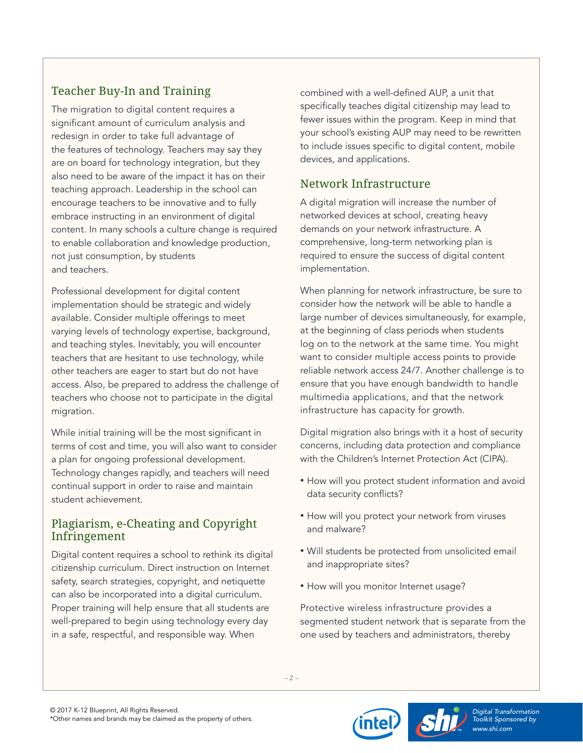## Teacher Buy-In and Training

The migration to digital content requires a significant amount of curriculum analysis and redesign in order to take full advantage of the features of technology. Teachers may say they are on board for technology integration, but they also need to be aware of the impact it has on their teaching approach. Leadership in the school can encourage teachers to be innovative and to fully embrace instructing in an environment of digital content. In many schools a culture change is required to enable collaboration and knowledge production, not just consumption, by students and teachers.

Professional development for digital content implementation should be strategic and widely available. Consider multiple offerings to meet varying levels of technology expertise, background, and teaching styles. Inevitably, you will encounter teachers that are hesitant to use technology, while other teachers are eager to start but do not have access. Also, be prepared to address the challenge of teachers who choose not to participate in the digital migration.

While initial training will be the most significant in terms of cost and time, you will also want to consider a plan for ongoing professional development. Technology changes rapidly, and teachers will need continual support in order to raise and maintain student achievement.

#### Plagiarism, e-Cheating and Copyright Infringement

Digital content requires a school to rethink its digital citizenship curriculum. Direct instruction on Internet safety, search strategies, copyright, and netiquette can also be incorporated into a digital curriculum. Proper training will help ensure that all students are well-prepared to begin using technology every day in a safe, respectful, and responsible way. When

combined with a well-defined AUP, a unit that specifically teaches digital citizenship may lead to fewer issues within the program. Keep in mind that your school's existing AUP may need to be rewritten to include issues specific to digital content, mobile devices, and applications.

## Network Infrastructure

A digital migration will increase the number of networked devices at school, creating heavy demands on your network infrastructure. A comprehensive, long-term networking plan is required to ensure the success of digital content implementation.

When planning for network infrastructure, be sure to consider how the network will be able to handle a large number of devices simultaneously, for example, at the beginning of class periods when students log on to the network at the same time. You might want to consider multiple access points to provide reliable network access 24/7. Another challenge is to ensure that you have enough bandwidth to handle multimedia applications, and that the network infrastructure has capacity for growth.

Digital migration also brings with it a host of security concerns, including data protection and compliance with the Children's Internet Protection Act (CIPA).

- How will you protect student information and avoid data security conflicts?
- How will you protect your network from viruses and malware?
- Will students be protected from unsolicited email and inappropriate sites?
- How will you monitor Internet usage?

Protective wireless infrastructure provides a segmented student network that is separate from the one used by teachers and administrators, thereby